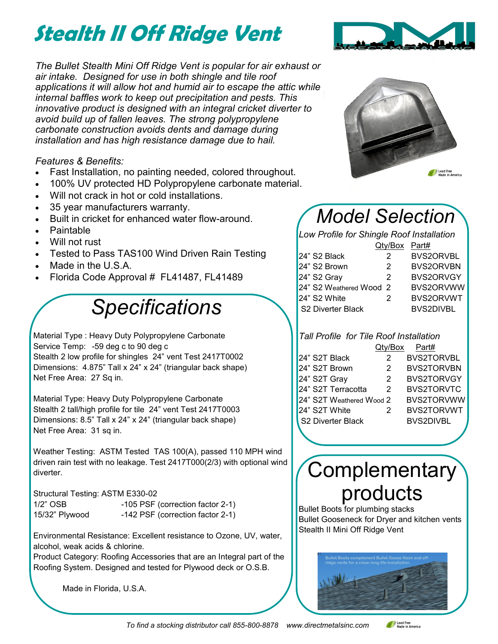# **Stealth II Off Ridge Vent**

*The Bullet Stealth Mini Off Ridge Vent is popular for air exhaust or air intake. Designed for use in both shingle and tile roof applications it will allow hot and humid air to escape the attic while internal baffles work to keep out precipitation and pests. This innovative product is designed with an integral cricket diverter to avoid build up of fallen leaves. The strong polypropylene carbonate construction avoids dents and damage during installation and has high resistance damage due to hail.* 

*Features & Benefits:*

- Fast Installation, no painting needed, colored throughout.
- 100% UV protected HD Polypropylene carbonate material.
- Will not crack in hot or cold installations.
- 35 year manufacturers warranty.
- Built in cricket for enhanced water flow-around.
- Paintable
- Will not rust
- Tested to Pass TAS100 Wind Driven Rain Testing
- Made in the U.S.A.
- Florida Code Approval # FL41487, FL41489

# *Specifications*

Material Type : Heavy Duty Polypropylene Carbonate Service Temp: -59 deg c to 90 deg c Stealth 2 low profile for shingles 24" vent Test 2417T0002

Dimensions: 4.875" Tall x 24" x 24" (triangular back shape) Net Free Area: 27 Sq in.

Material Type: Heavy Duty Polypropylene Carbonate Stealth 2 tall/high profile for tile 24" vent Test 2417T0003 Dimensions: 8.5" Tall x 24" x 24" (triangular back shape) Net Free Area: 31 sq in.

Weather Testing: ASTM Tested TAS 100(A), passed 110 MPH wind driven rain test with no leakage. Test 2417T000(2/3) with optional wind diverter.

Structural Testing: ASTM E330-02

| $1/2$ " OSB    | -105 PSF (correction factor 2-1) |
|----------------|----------------------------------|
| 15/32" Plywood | -142 PSF (correction factor 2-1) |

Environmental Resistance: Excellent resistance to Ozone, UV, water, alcohol, weak acids & chlorine.

Product Category: Roofing Accessories that are an Integral part of the Roofing System. Designed and tested for Plywood deck or O.S.B.

Made in Florida, U.S.A.





### *Model Selection*

*Low Profile for Shingle Roof Installation*

|                          | Qty/Box Part# |                  |
|--------------------------|---------------|------------------|
| 24" S2 Black             | 2             | <b>BVS2ORVBL</b> |
| 24" S2 Brown             | 2             | BVS2ORVBN        |
| 24" S2 Gray              | 2             | BVS2ORVGY        |
| 24" S2 Weathered Wood 2  |               | BVS2ORVWW        |
| 24" S2 White             | 2             | BVS2ORVWT        |
| <b>S2 Diverter Black</b> |               | <b>BVS2DIVBL</b> |

#### *Tall Profile for Tile Roof Installation*  $Q$ ty/Box

|                          |   | . a. <del>ur</del> |
|--------------------------|---|--------------------|
| 24" S2T Black            | 2 | <b>BVS2TORVBL</b>  |
| 24" S2T Brown            | 2 | <b>BVS2TORVBN</b>  |
| 24" S2T Gray             | 2 | <b>BVS2TORVGY</b>  |
| 24" S2T Terracotta       | 2 | <b>BVS2TORVTC</b>  |
| 24" S2T Weathered Wood 2 |   | BVS2TORVWW         |
| 24" S2T White            | 2 | <b>BVS2TORVWT</b>  |
| S2 Diverter Black        |   | <b>BVS2DIVBL</b>   |
|                          |   |                    |

### **Complementary** products

Bullet Boots for plumbing stacks Bullet Gooseneck for Dryer and kitchen vents Stealth II Mini Off Ridge Vent



Lead Free<br>Made in America